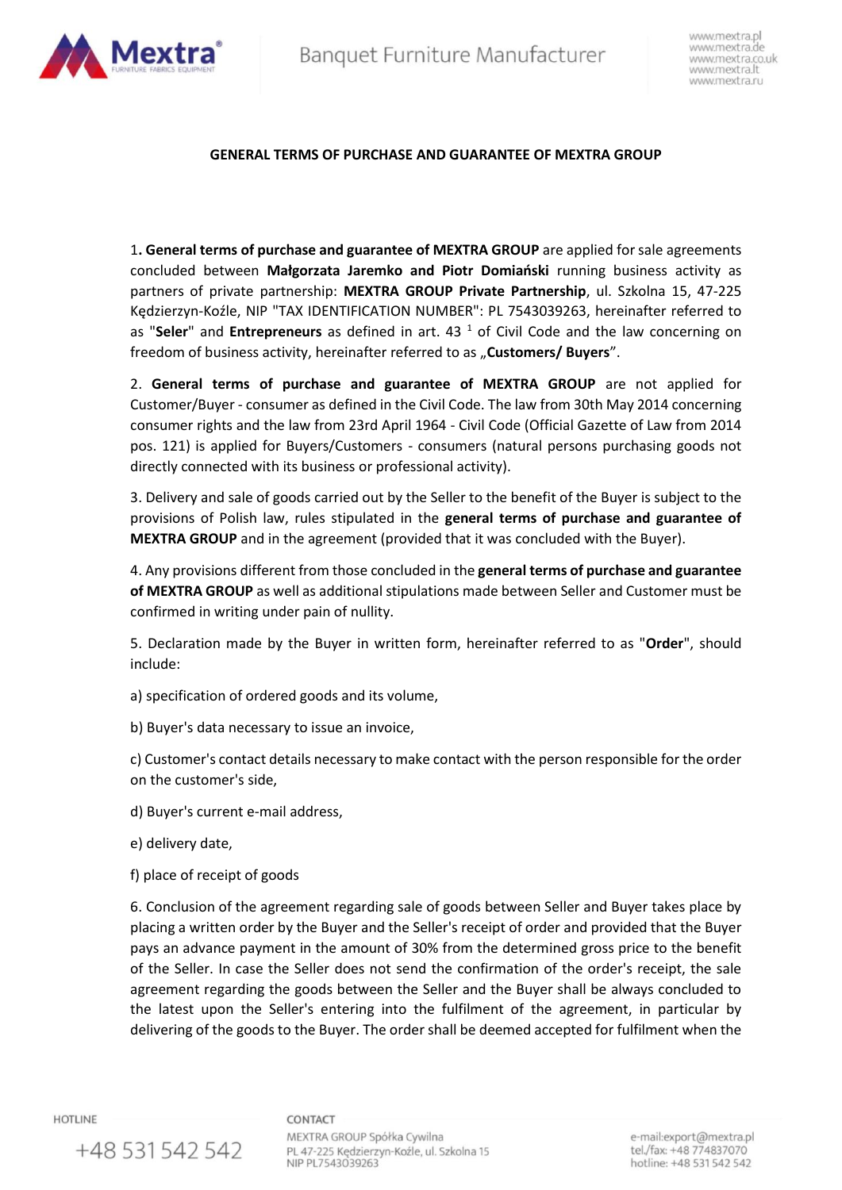

# **GENERAL TERMS OF PURCHASE AND GUARANTEE OF MEXTRA GROUP**

1**. General terms of purchase and guarantee of MEXTRA GROUP** are applied for sale agreements concluded between **Małgorzata Jaremko and Piotr Domiański** running business activity as partners of private partnership: **MEXTRA GROUP Private Partnership**, ul. Szkolna 15, 47-225 Kędzierzyn-Koźle, NIP "TAX IDENTIFICATION NUMBER": PL 7543039263, hereinafter referred to as "Seler" and Entrepreneurs as defined in art. 43<sup>1</sup> of Civil Code and the law concerning on freedom of business activity, hereinafter referred to as "**Customers/ Buyers**".

2. **General terms of purchase and guarantee of MEXTRA GROUP** are not applied for Customer/Buyer - consumer as defined in the Civil Code. The law from 30th May 2014 concerning consumer rights and the law from 23rd April 1964 - Civil Code (Official Gazette of Law from 2014 pos. 121) is applied for Buyers/Customers - consumers (natural persons purchasing goods not directly connected with its business or professional activity).

3. Delivery and sale of goods carried out by the Seller to the benefit of the Buyer is subject to the provisions of Polish law, rules stipulated in the **general terms of purchase and guarantee of MEXTRA GROUP** and in the agreement (provided that it was concluded with the Buyer).

4. Any provisions different from those concluded in the **general terms of purchase and guarantee of MEXTRA GROUP** as well as additional stipulations made between Seller and Customer must be confirmed in writing under pain of nullity.

5. Declaration made by the Buyer in written form, hereinafter referred to as "**Order**", should include:

a) specification of ordered goods and its volume,

b) Buyer's data necessary to issue an invoice,

c) Customer's contact details necessary to make contact with the person responsible for the order on the customer's side,

d) Buyer's current e-mail address,

e) delivery date,

+48 531 542 542

f) place of receipt of goods

6. Conclusion of the agreement regarding sale of goods between Seller and Buyer takes place by placing a written order by the Buyer and the Seller's receipt of order and provided that the Buyer pays an advance payment in the amount of 30% from the determined gross price to the benefit of the Seller. In case the Seller does not send the confirmation of the order's receipt, the sale agreement regarding the goods between the Seller and the Buyer shall be always concluded to the latest upon the Seller's entering into the fulfilment of the agreement, in particular by delivering of the goods to the Buyer. The order shall be deemed accepted for fulfilment when the

**HOTLINE** 

CONTACT

MEXTRA GROUP Spółka Cywilna PL 47-225 Kędzierzyn-Koźle, ul. Szkolna 15 NIP PL7543039263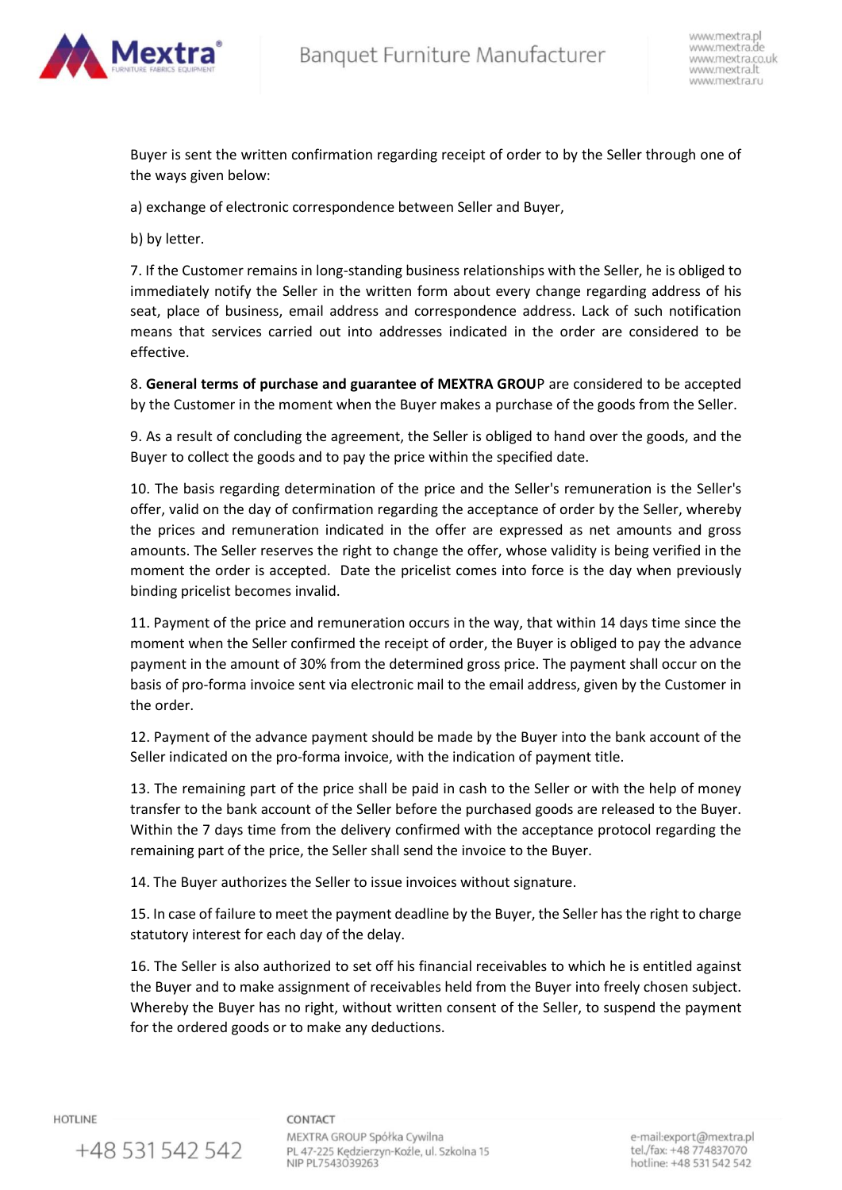

Buyer is sent the written confirmation regarding receipt of order to by the Seller through one of the ways given below:

a) exchange of electronic correspondence between Seller and Buyer,

b) by letter.

7. If the Customer remains in long-standing business relationships with the Seller, he is obliged to immediately notify the Seller in the written form about every change regarding address of his seat, place of business, email address and correspondence address. Lack of such notification means that services carried out into addresses indicated in the order are considered to be effective.

8. **General terms of purchase and guarantee of MEXTRA GROU**P are considered to be accepted by the Customer in the moment when the Buyer makes a purchase of the goods from the Seller.

9. As a result of concluding the agreement, the Seller is obliged to hand over the goods, and the Buyer to collect the goods and to pay the price within the specified date.

10. The basis regarding determination of the price and the Seller's remuneration is the Seller's offer, valid on the day of confirmation regarding the acceptance of order by the Seller, whereby the prices and remuneration indicated in the offer are expressed as net amounts and gross amounts. The Seller reserves the right to change the offer, whose validity is being verified in the moment the order is accepted. Date the pricelist comes into force is the day when previously binding pricelist becomes invalid.

11. Payment of the price and remuneration occurs in the way, that within 14 days time since the moment when the Seller confirmed the receipt of order, the Buyer is obliged to pay the advance payment in the amount of 30% from the determined gross price. The payment shall occur on the basis of pro-forma invoice sent via electronic mail to the email address, given by the Customer in the order.

12. Payment of the advance payment should be made by the Buyer into the bank account of the Seller indicated on the pro-forma invoice, with the indication of payment title.

13. The remaining part of the price shall be paid in cash to the Seller or with the help of money transfer to the bank account of the Seller before the purchased goods are released to the Buyer. Within the 7 days time from the delivery confirmed with the acceptance protocol regarding the remaining part of the price, the Seller shall send the invoice to the Buyer.

14. The Buyer authorizes the Seller to issue invoices without signature.

15. In case of failure to meet the payment deadline by the Buyer, the Seller has the right to charge statutory interest for each day of the delay.

16. The Seller is also authorized to set off his financial receivables to which he is entitled against the Buyer and to make assignment of receivables held from the Buyer into freely chosen subject. Whereby the Buyer has no right, without written consent of the Seller, to suspend the payment for the ordered goods or to make any deductions.

**HOTLINE** 

+48 531 542 542

CONTACT

MEXTRA GROUP Spółka Cywilna PL 47-225 Kędzierzyn-Koźle, ul. Szkolna 15 NIP PL7543039263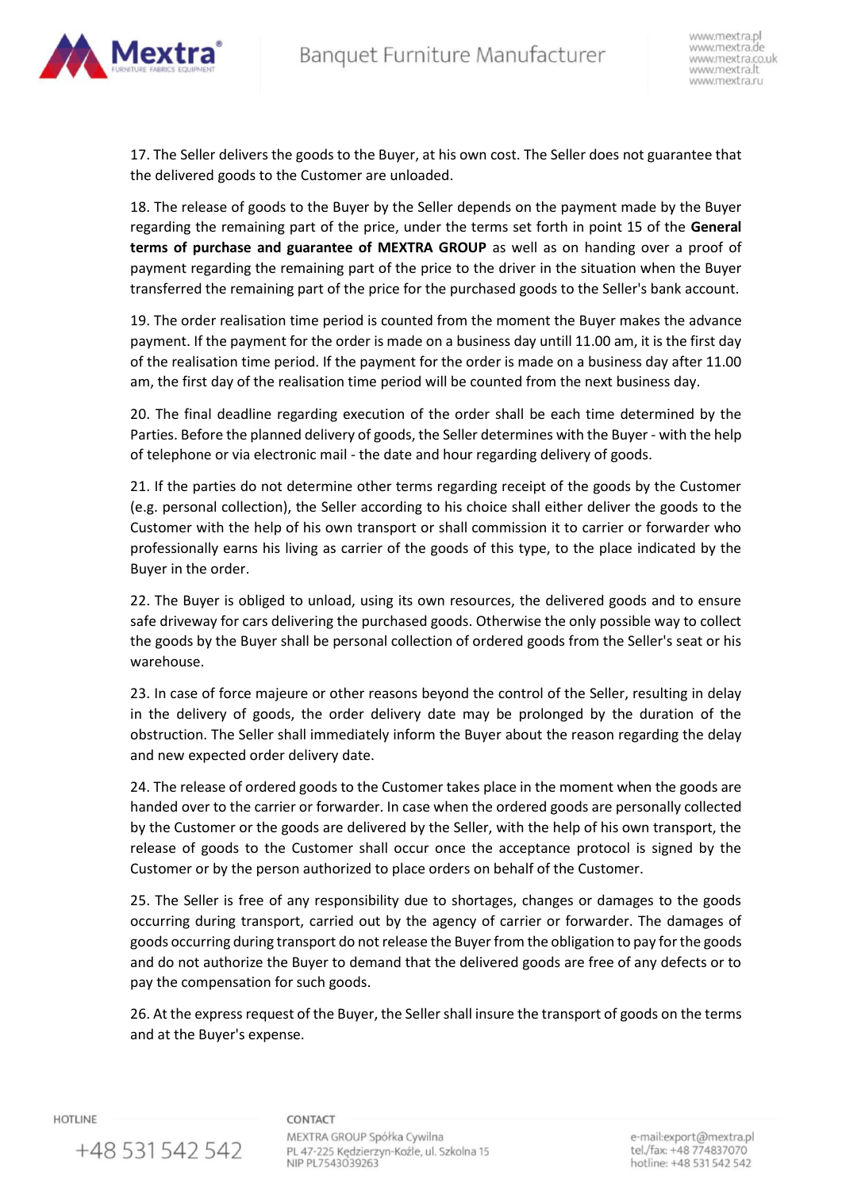

17. The Seller delivers the goods to the Buyer, at his own cost. The Seller does not guarantee that the delivered goods to the Customer are unloaded.

18. The release of goods to the Buyer by the Seller depends on the payment made by the Buyer regarding the remaining part of the price, under the terms set forth in point 15 of the **General terms of purchase and guarantee of MEXTRA GROUP** as well as on handing over a proof of payment regarding the remaining part of the price to the driver in the situation when the Buyer transferred the remaining part of the price for the purchased goods to the Seller's bank account.

19. The order realisation time period is counted from the moment the Buyer makes the advance payment. If the payment for the order is made on a business day untill 11.00 am, it is the first day of the realisation time period. If the payment for the order is made on a business day after 11.00 am, the first day of the realisation time period will be counted from the next business day.

20. The final deadline regarding execution of the order shall be each time determined by the Parties. Before the planned delivery of goods, the Seller determines with the Buyer - with the help of telephone or via electronic mail - the date and hour regarding delivery of goods.

21. If the parties do not determine other terms regarding receipt of the goods by the Customer (e.g. personal collection), the Seller according to his choice shall either deliver the goods to the Customer with the help of his own transport or shall commission it to carrier or forwarder who professionally earns his living as carrier of the goods of this type, to the place indicated by the Buyer in the order.

22. The Buyer is obliged to unload, using its own resources, the delivered goods and to ensure safe driveway for cars delivering the purchased goods. Otherwise the only possible way to collect the goods by the Buyer shall be personal collection of ordered goods from the Seller's seat or his warehouse.

23. In case of force majeure or other reasons beyond the control of the Seller, resulting in delay in the delivery of goods, the order delivery date may be prolonged by the duration of the obstruction. The Seller shall immediately inform the Buyer about the reason regarding the delay and new expected order delivery date.

24. The release of ordered goods to the Customer takes place in the moment when the goods are handed over to the carrier or forwarder. In case when the ordered goods are personally collected by the Customer or the goods are delivered by the Seller, with the help of his own transport, the release of goods to the Customer shall occur once the acceptance protocol is signed by the Customer or by the person authorized to place orders on behalf of the Customer.

25. The Seller is free of any responsibility due to shortages, changes or damages to the goods occurring during transport, carried out by the agency of carrier or forwarder. The damages of goods occurring during transport do not release the Buyer from the obligation to pay for the goods and do not authorize the Buyer to demand that the delivered goods are free of any defects or to pay the compensation for such goods.

26. At the express request of the Buyer, the Seller shall insure the transport of goods on the terms and at the Buyer's expense.

**HOTLINE** 

+48 531 542 542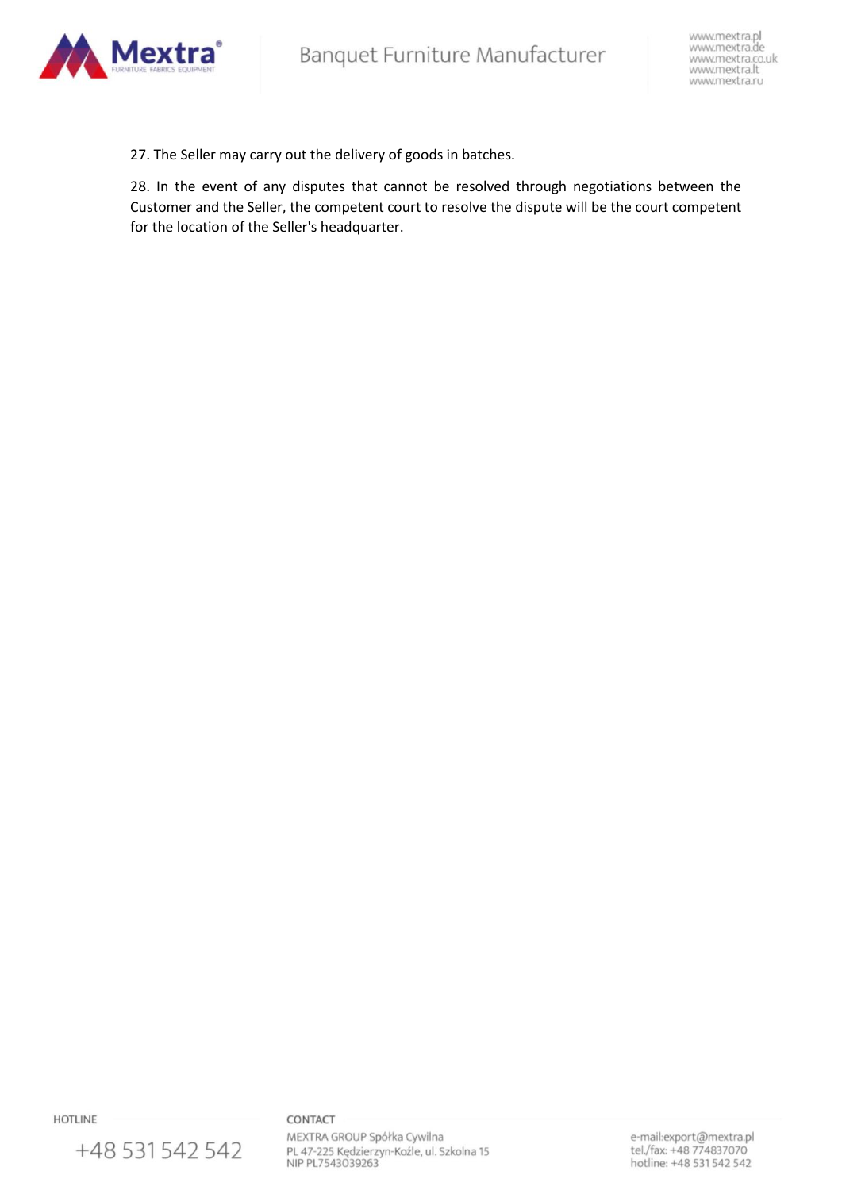

27. The Seller may carry out the delivery of goods in batches.

28. In the event of any disputes that cannot be resolved through negotiations between the Customer and the Seller, the competent court to resolve the dispute will be the court competent for the location of the Seller's headquarter.

**HOTLINE** 

+48 531 542 542

# CONTACT

MEXTRA GROUP Spółka Cywilna PL 47-225 Kędzierzyn-Koźle, ul. Szkolna 15<br>NIP PL7543039263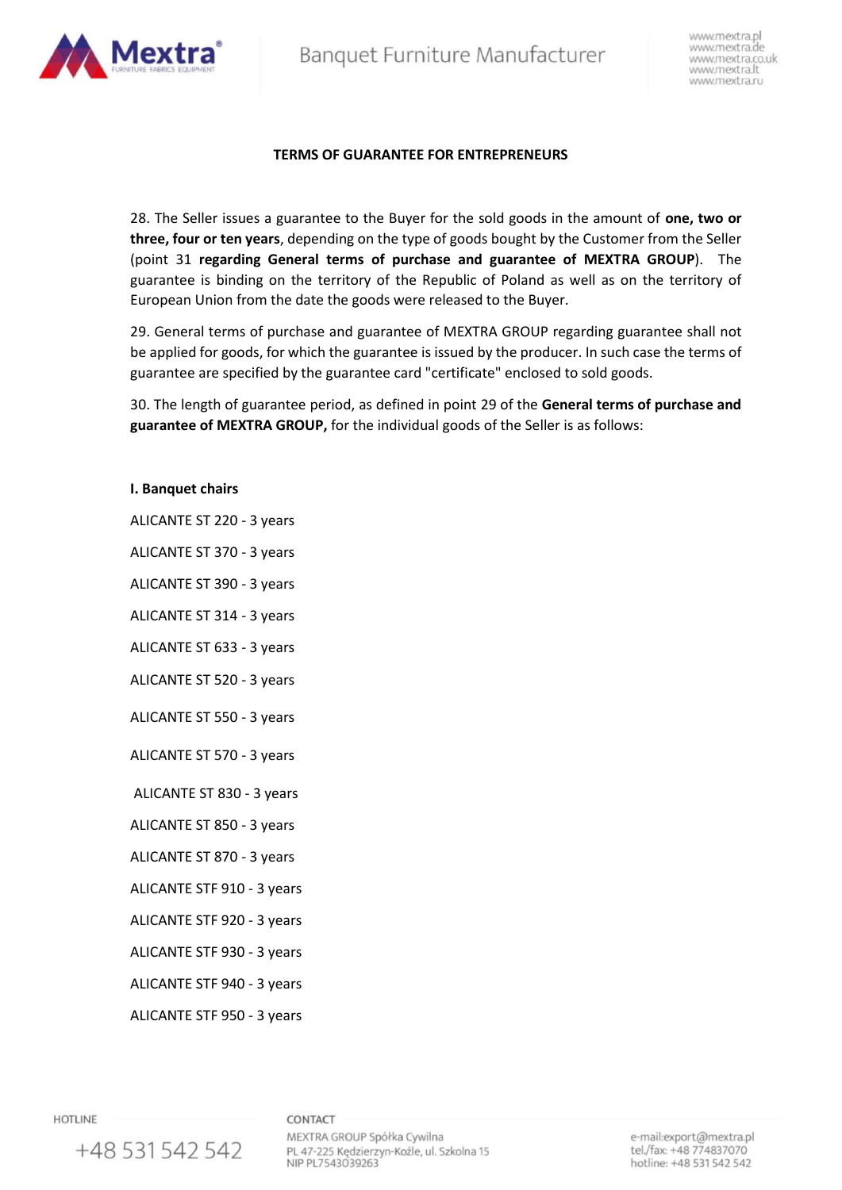Banquet Furniture Manufacturer



www.mextra.pl www.mextra.de www.mextra.co.uk www.mextra.lt www.mextra.ru

## **TERMS OF GUARANTEE FOR ENTREPRENEURS**

28. The Seller issues a guarantee to the Buyer for the sold goods in the amount of **one, two or three, four or ten years**, depending on the type of goods bought by the Customer from the Seller (point 31 **regarding General terms of purchase and guarantee of MEXTRA GROUP**). The guarantee is binding on the territory of the Republic of Poland as well as on the territory of European Union from the date the goods were released to the Buyer.

29. General terms of purchase and guarantee of MEXTRA GROUP regarding guarantee shall not be applied for goods, for which the guarantee is issued by the producer. In such case the terms of guarantee are specified by the guarantee card "certificate" enclosed to sold goods.

30. The length of guarantee period, as defined in point 29 of the **General terms of purchase and guarantee of MEXTRA GROUP,** for the individual goods of the Seller is as follows:

## **I. Banquet chairs**

- ALICANTE ST 220 3 years
- ALICANTE ST 370 3 years
- ALICANTE ST 390 3 years
- ALICANTE ST 314 3 years
- ALICANTE ST 633 3 years
- ALICANTE ST 520 3 years
- ALICANTE ST 550 3 years
- ALICANTE ST 570 3 years
- ALICANTE ST 830 3 years
- ALICANTE ST 850 3 years
- ALICANTE ST 870 3 years
- ALICANTE STF 910 3 years
- ALICANTE STF 920 3 years
- ALICANTE STF 930 3 years
- ALICANTE STF 940 3 years
- ALICANTE STF 950 3 years

+48 531 542 542

**HOTLINE**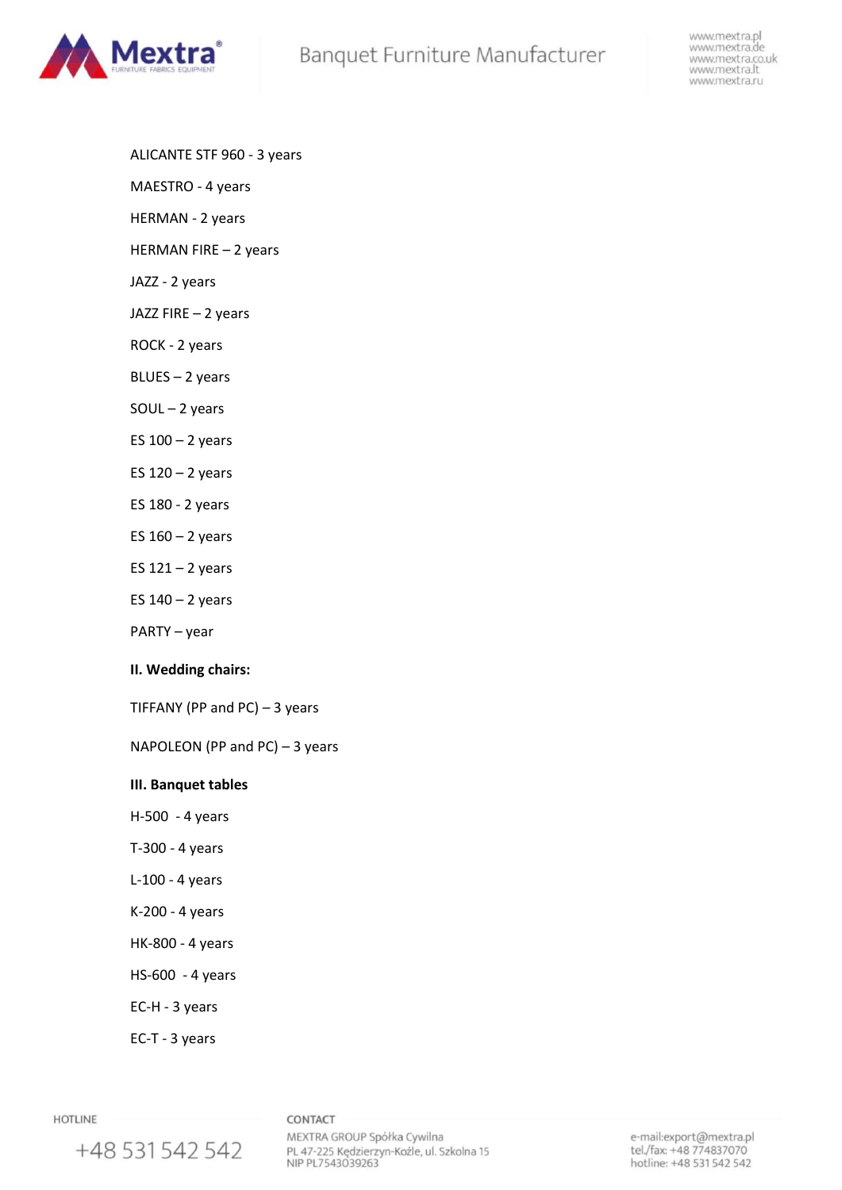# Banquet Furniture Manufacturer



www.mextra.pl www.mextra.de www.mextra.co.uk www.mextra.lt<br>www.mextra.ru

- ALICANTE STF 960 3 years
- MAESTRO 4 years
- HERMAN 2 years
- HERMAN FIRE 2 years
- JAZZ 2 years
- JAZZ FIRE 2 years
- ROCK 2 years
- BLUES 2 years
- SOUL 2 years
- ES  $100 2$  years
- ES  $120 2$  years
- ES 180 2 years
- ES  $160 2$  years
- ES  $121 2$  years
- ES  $140 2$  years
- PARTY year

# **II. Wedding chairs:**

TIFFANY (PP and PC)  $-3$  years

NAPOLEON (PP and PC) – 3 years

# **III. Banquet tables**

- H-500 4 years
- T-300 4 years
- L-100 4 years
- K-200 4 years
- HK-800 4 years
- HS-600 4 years
- EC-H 3 years
- EC-T 3 years

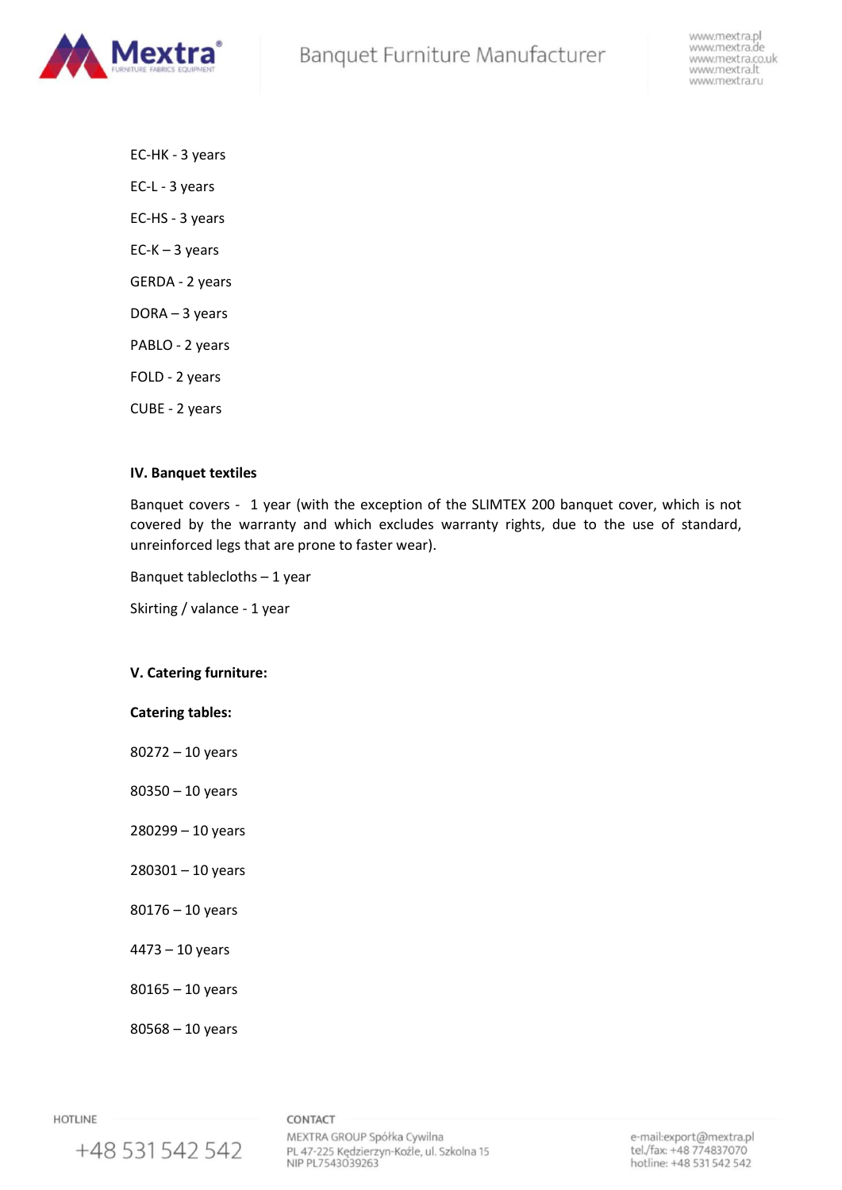

EC-HK - 3 years EC-L - 3 years EC-HS - 3 years  $EC-K-3$  years GERDA - 2 years DORA – 3 years PABLO - 2 years FOLD - 2 years CUBE - 2 years

## **IV. Banquet textiles**

Banquet covers - 1 year (with the exception of the SLIMTEX 200 banquet cover, which is not covered by the warranty and which excludes warranty rights, due to the use of standard, unreinforced legs that are prone to faster wear).

Banquet tablecloths – 1 year

Skirting / valance - 1 year

# **V. Catering furniture:**

## **Catering tables:**

80272 – 10 years

80350 – 10 years

- 280299 10 years
- 280301 10 years
- 80176 10 years
- 4473 10 years
- 80165 10 years

80568 – 10 years

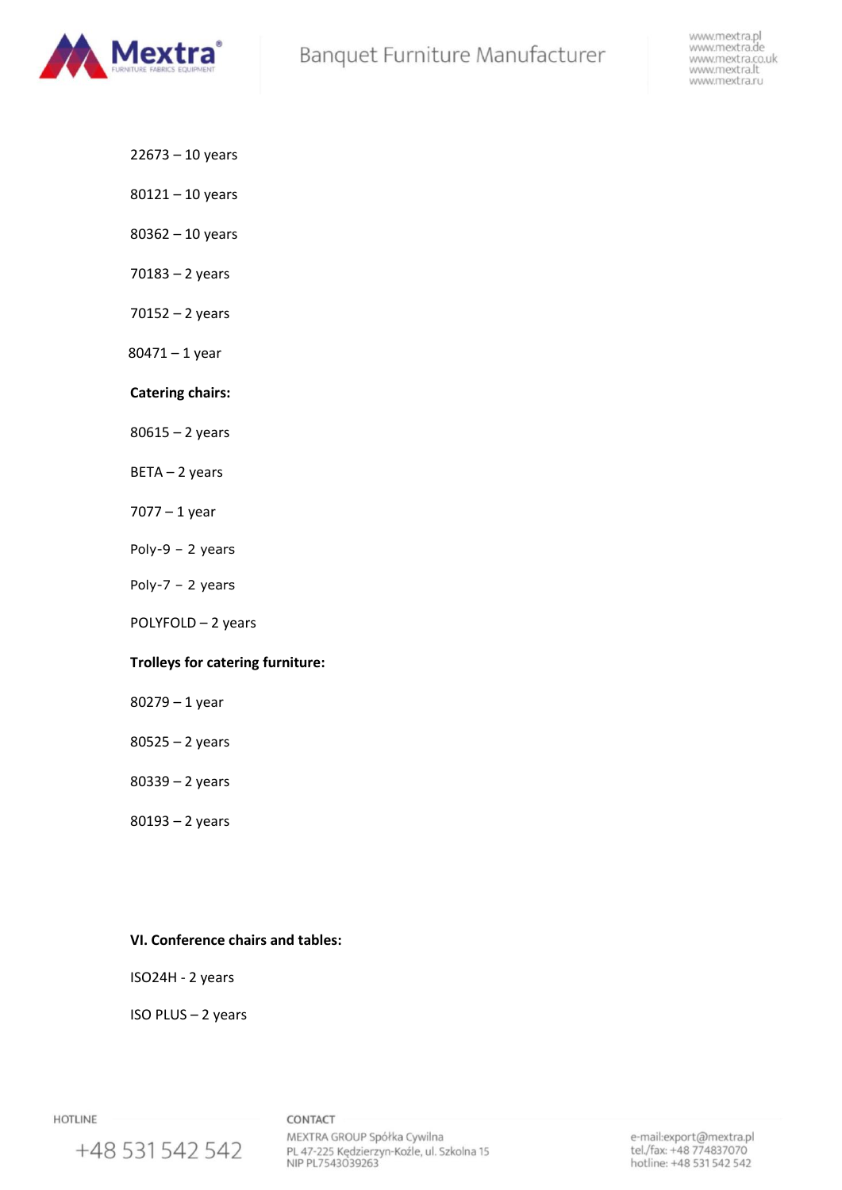

- 22673 10 years
- 80121 10 years
- 80362 10 years
- 70183 2 years
- 70152 2 years
- 80471 1 year
- **Catering chairs:**
- 80615 2 years
- BETA 2 years
- 7077 1 year
- Poly-9 2 years
- Poly-7 2 years
- POLYFOLD 2 years

# **Trolleys for catering furniture:**

- 80279 1 year
- 80525 2 years
- 80339 2 years
- 80193 2 years

# **VI. Conference chairs and tables:**

ISO24H - 2 years

ISO PLUS – 2 years

**HOTLINE** 

+48 531 542 542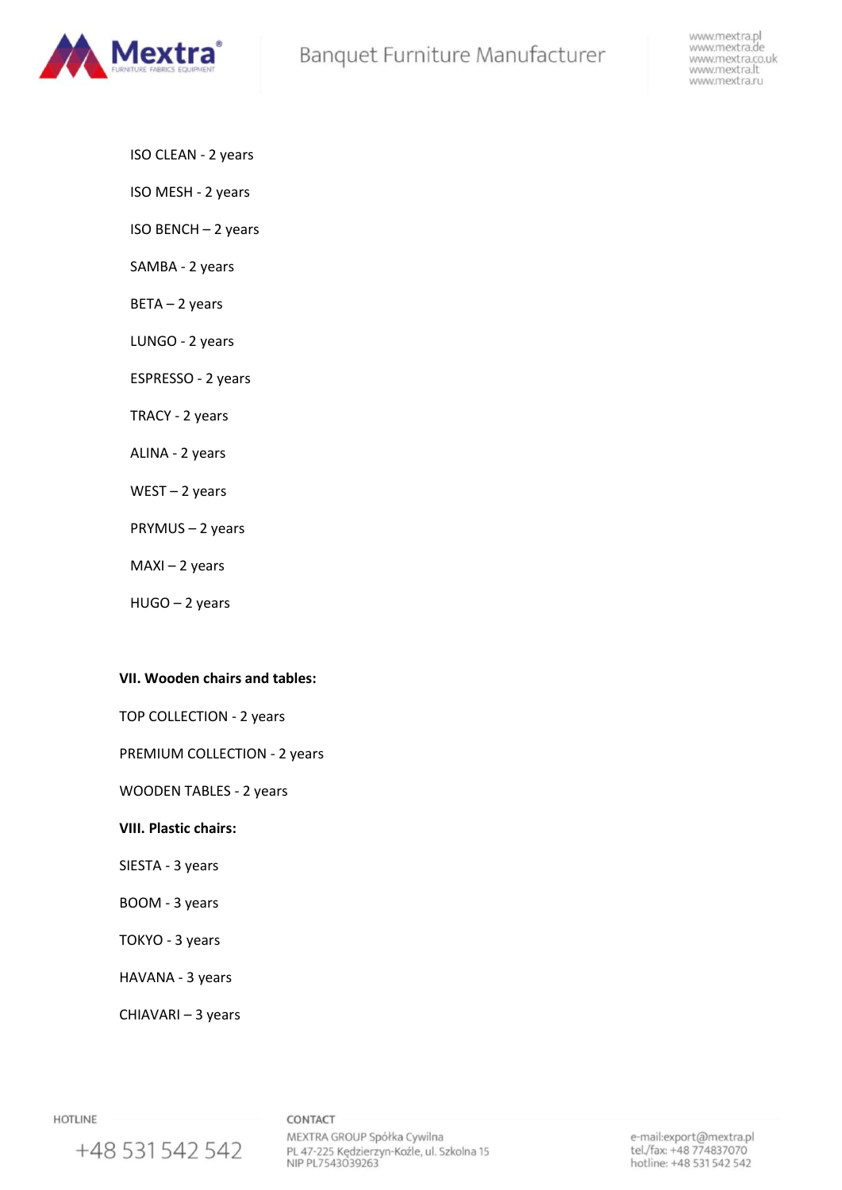

- ISO CLEAN 2 years
- ISO MESH 2 years
- ISO BENCH 2 years
- SAMBA 2 years
- BETA 2 years
- LUNGO 2 years
- ESPRESSO 2 years
- TRACY 2 years
- ALINA 2 years
- WEST 2 years
- PRYMUS 2 years
- $MAXI 2$  years
- HUGO 2 years

# **VII. Wooden chairs and tables:**

- TOP COLLECTION 2 years
- PREMIUM COLLECTION 2 years
- WOODEN TABLES 2 years

# **VIII. Plastic chairs:**

- SIESTA 3 years
- BOOM 3 years
- TOKYO 3 years
- HAVANA 3 years
- CHIAVARI 3 years

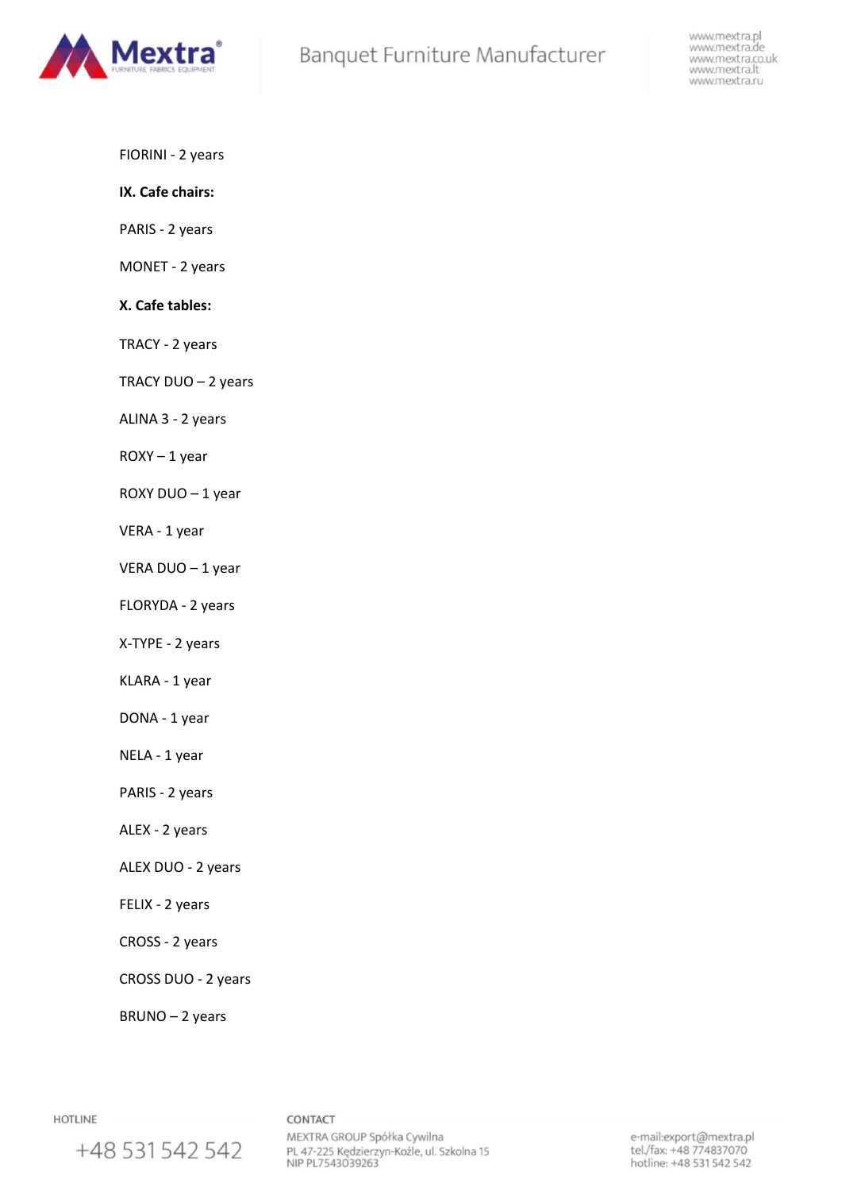

- FIORINI 2 years
- **IX. Cafe chairs:**
- PARIS 2 years
- MONET 2 years

## **X. Cafe tables:**

- TRACY 2 years
- TRACY DUO 2 years
- ALINA 3 2 years
- $ROXY 1$  year
- ROXY DUO 1 year
- VERA 1 year
- VERA DUO 1 year
- FLORYDA 2 years
- X-TYPE 2 years
- KLARA 1 year
- DONA 1 year
- NELA 1 year
- PARIS 2 years
- ALEX 2 years
- ALEX DUO 2 years
- FELIX 2 years
- CROSS 2 years
- CROSS DUO 2 years
- BRUNO 2 years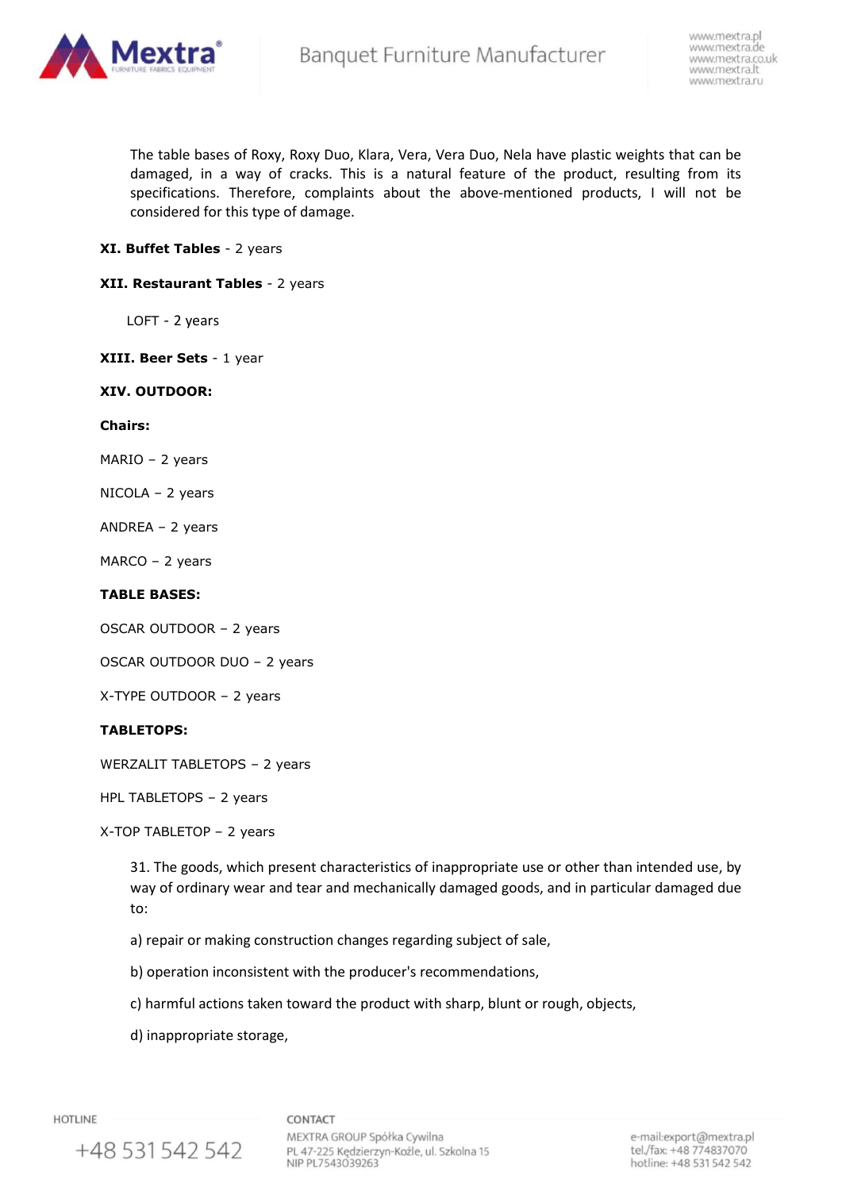

The table bases of Roxy, Roxy Duo, Klara, Vera, Vera Duo, Nela have plastic weights that can be damaged, in a way of cracks. This is a natural feature of the product, resulting from its specifications. Therefore, complaints about the above-mentioned products, I will not be considered for this type of damage.

## **XI. Buffet Tables** - 2 years

## **XII. Restaurant Tables** - 2 years

LOFT - 2 years

**XIII. Beer Sets** - 1 year

#### **XIV. OUTDOOR:**

#### **Chairs:**

MARIO – 2 years

- NICOLA 2 years
- ANDREA 2 years

MARCO – 2 years

## **TABLE BASES:**

OSCAR OUTDOOR – 2 years

OSCAR OUTDOOR DUO – 2 years

X-TYPE OUTDOOR – 2 years

## **TABLETOPS:**

WERZALIT TABLETOPS – 2 years

HPL TABLETOPS – 2 years

X-TOP TABLETOP – 2 years

31. The goods, which present characteristics of inappropriate use or other than intended use, by way of ordinary wear and tear and mechanically damaged goods, and in particular damaged due to:

a) repair or making construction changes regarding subject of sale,

b) operation inconsistent with the producer's recommendations,

c) harmful actions taken toward the product with sharp, blunt or rough, objects,

d) inappropriate storage,

**HOTLINE** 

CONTACT

+48 531 542 542

MEXTRA GROUP Spółka Cywilna PL 47-225 Kędzierzyn-Koźle, ul. Szkolna 15 NIP PL7543039263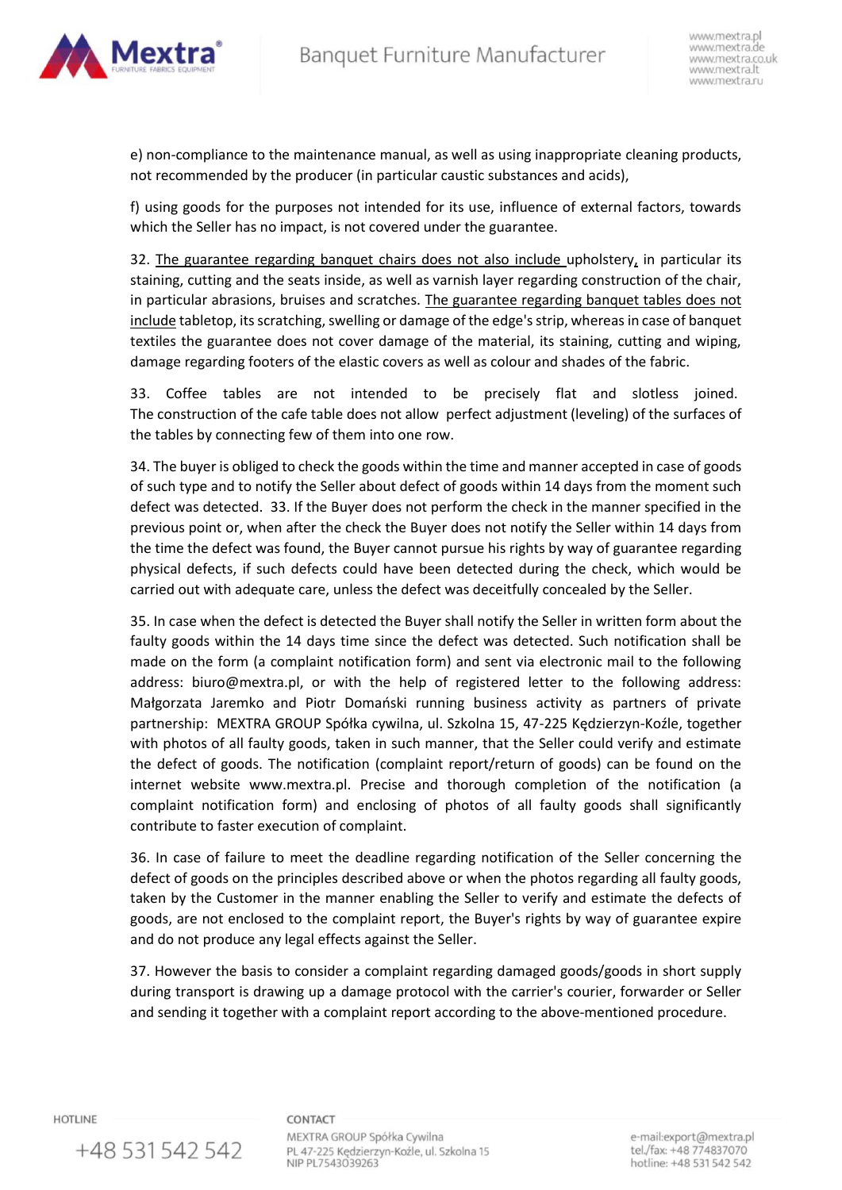

e) non-compliance to the maintenance manual, as well as using inappropriate cleaning products, not recommended by the producer (in particular caustic substances and acids),

f) using goods for the purposes not intended for its use, influence of external factors, towards which the Seller has no impact, is not covered under the guarantee.

32. The guarantee regarding banquet chairs does not also include upholstery, in particular its staining, cutting and the seats inside, as well as varnish layer regarding construction of the chair, in particular abrasions, bruises and scratches. The guarantee regarding banquet tables does not include tabletop, its scratching, swelling or damage of the edge's strip, whereas in case of banquet textiles the guarantee does not cover damage of the material, its staining, cutting and wiping, damage regarding footers of the elastic covers as well as colour and shades of the fabric.

33. Coffee tables are not intended to be precisely flat and slotless joined. The construction of the cafe table does not allow perfect adjustment (leveling) of the surfaces of the tables by connecting few of them into one row.

34. The buyer is obliged to check the goods within the time and manner accepted in case of goods of such type and to notify the Seller about defect of goods within 14 days from the moment such defect was detected. 33. If the Buyer does not perform the check in the manner specified in the previous point or, when after the check the Buyer does not notify the Seller within 14 days from the time the defect was found, the Buyer cannot pursue his rights by way of guarantee regarding physical defects, if such defects could have been detected during the check, which would be carried out with adequate care, unless the defect was deceitfully concealed by the Seller.

35. In case when the defect is detected the Buyer shall notify the Seller in written form about the faulty goods within the 14 days time since the defect was detected. Such notification shall be made on the form (a complaint notification form) and sent via electronic mail to the following address: biuro@mextra.pl, or with the help of registered letter to the following address: Małgorzata Jaremko and Piotr Domański running business activity as partners of private partnership: MEXTRA GROUP Spółka cywilna, ul. Szkolna 15, 47-225 Kędzierzyn-Koźle, together with photos of all faulty goods, taken in such manner, that the Seller could verify and estimate the defect of goods. The notification (complaint report/return of goods) can be found on the internet website www.mextra.pl. Precise and thorough completion of the notification (a complaint notification form) and enclosing of photos of all faulty goods shall significantly contribute to faster execution of complaint.

36. In case of failure to meet the deadline regarding notification of the Seller concerning the defect of goods on the principles described above or when the photos regarding all faulty goods, taken by the Customer in the manner enabling the Seller to verify and estimate the defects of goods, are not enclosed to the complaint report, the Buyer's rights by way of guarantee expire and do not produce any legal effects against the Seller.

37. However the basis to consider a complaint regarding damaged goods/goods in short supply during transport is drawing up a damage protocol with the carrier's courier, forwarder or Seller and sending it together with a complaint report according to the above-mentioned procedure.

**HOTLINE** 

+48 531 542 542